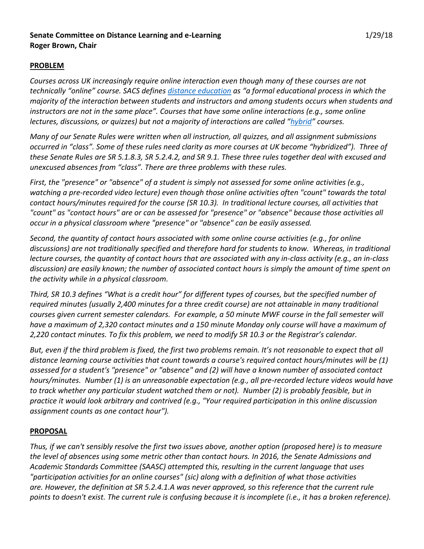### **Senate Committee on Distance Learning and e-Learning** 1/29/18 **Roger Brown, Chair**

### **PROBLEM**

*Courses across UK increasingly require online interaction even though many of these courses are not technically "online" course. SACS defines [distance education](http://www.sacscoc.org/pdf/DistanceCorrespondenceEducation.pdf) as "a formal educational process in which the majority of the interaction between students and instructors and among students occurs when students and instructors are not in the same place". Courses that have some online interactions (e.g., some online lectures, discussions, or quizzes) but not a majority of interactions are called "[hybrid](https://www.uky.edu/celt/instructional-resources/teaching-technology/hybrid-courses)" courses.*

*Many of our Senate Rules were written when all instruction, all quizzes, and all assignment submissions occurred in "class". Some of these rules need clarity as more courses at UK become "hybridized"). Three of these Senate Rules are SR 5.1.8.3, SR 5.2.4.2, and SR 9.1. These three rules together deal with excused and unexcused absences from "class". There are three problems with these rules.* 

*First, the "presence" or "absence" of a student is simply not assessed for some online activities (e.g., watching a pre-recorded video lecture) even though those online activities often "count" towards the total contact hours/minutes required for the course (SR 10.3). In traditional lecture courses, all activities that "count" as "contact hours" are or can be assessed for "presence" or "absence" because those activities all occur in a physical classroom where "presence" or "absence" can be easily assessed.*

*Second, the quantity of contact hours associated with some online course activities (e.g., for online discussions) are not traditionally specified and therefore hard for students to know. Whereas, in traditional lecture courses, the quantity of contact hours that are associated with any in-class activity (e.g., an in-class discussion) are easily known; the number of associated contact hours is simply the amount of time spent on the activity while in a physical classroom.*

*Third, SR 10.3 defines "What is a credit hour" for different types of courses, but the specified number of required minutes (usually 2,400 minutes for a three credit course) are not attainable in many traditional courses given current semester calendars. For example, a 50 minute MWF course in the fall semester will have a maximum of 2,320 contact minutes and a 150 minute Monday only course will have a maximum of 2,220 contact minutes. To fix this problem, we need to modify SR 10.3 or the Registrar's calendar.* 

*But, even if the third problem is fixed, the first two problems remain. It's not reasonable to expect that all distance learning course activities that count towards a course's required contact hours/minutes will be (1) assessed for a student's "presence" or "absence" and (2) will have a known number of associated contact hours/minutes. Number (1) is an unreasonable expectation (e.g., all pre-recorded lecture videos would have to track whether any particular student watched them or not). Number (2) is probably feasible, but in practice it would look arbitrary and contrived (e.g., "Your required participation in this online discussion assignment counts as one contact hour").*

### **PROPOSAL**

*Thus, if we can't sensibly resolve the first two issues above, another option (proposed here) is to measure the level of absences using some metric other than contact hours. In 2016, the Senate Admissions and Academic Standards Committee (SAASC) attempted this, resulting in the current language that uses "participation activities for an online courses" (sic) along with a definition of what those activities are. However, the definition at SR 5.2.4.1.A was never approved, so this reference that the current rule points to doesn't exist. The current rule is confusing because it is incomplete (i.e., it has a broken reference).*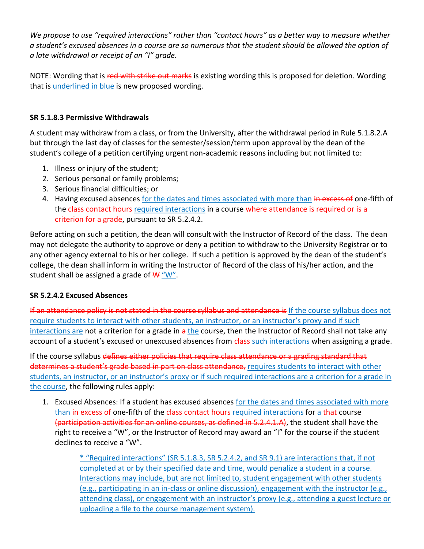*We propose to use "required interactions" rather than "contact hours" as a better way to measure whether a student's excused absences in a course are so numerous that the student should be allowed the option of a late withdrawal or receipt of an "I" grade.*

NOTE: Wording that is red with strike out marks is existing wording this is proposed for deletion. Wording that is underlined in blue is new proposed wording.

### **SR 5.1.8.3 Permissive Withdrawals**

A student may withdraw from a class, or from the University, after the withdrawal period in Rule 5.1.8.2.A but through the last day of classes for the semester/session/term upon approval by the dean of the student's college of a petition certifying urgent non-academic reasons including but not limited to:

- 1. Illness or injury of the student;
- 2. Serious personal or family problems;
- 3. Serious financial difficulties; or
- 4. Having excused absences for the dates and times associated with more than in excess of one-fifth of the class contact hours required interactions in a course-where attendance is required or is a criterion for a grade, pursuant to SR 5.2.4.2.

Before acting on such a petition, the dean will consult with the Instructor of Record of the class. The dean may not delegate the authority to approve or deny a petition to withdraw to the University Registrar or to any other agency external to his or her college. If such a petition is approved by the dean of the student's college, the dean shall inform in writing the Instructor of Record of the class of his/her action, and the student shall be assigned a grade of  $W''$ .

### **SR 5.2.4.2 Excused Absences**

If an attendance policy is not stated in the course syllabus and attendance is If the course syllabus does not require students to interact with other students, an instructor, or an instructor's proxy and if such interactions are not a criterion for a grade in a the course, then the Instructor of Record shall not take any account of a student's excused or unexcused absences from class such interactions when assigning a grade.

If the course syllabus defines either policies that require class attendance or a grading standard that determines a student's grade based in part on class attendance, requires students to interact with other students, an instructor, or an instructor's proxy or if such required interactions are a criterion for a grade in the course, the following rules apply:

1. Excused Absences: If a student has excused absences for the dates and times associated with more than in excess of one-fifth of the class contact hours required interactions for a that course (participation activities for an online courses, as defined in 5.2.4.1.A), the student shall have the right to receive a "W", or the Instructor of Record may award an "I" for the course if the student declines to receive a "W".

> \* "Required interactions" (SR 5.1.8.3, SR 5.2.4.2, and SR 9.1) are interactions that, if not completed at or by their specified date and time, would penalize a student in a course. Interactions may include, but are not limited to, student engagement with other students (e.g., participating in an in-class or online discussion), engagement with the instructor (e.g., attending class), or engagement with an instructor's proxy (e.g., attending a guest lecture or uploading a file to the course management system).